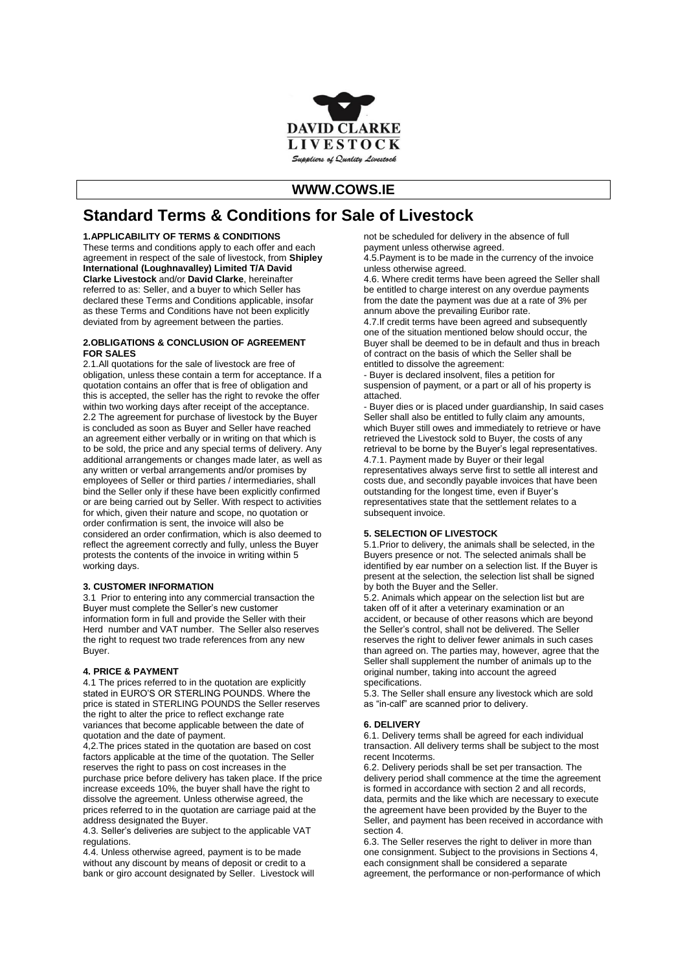

## **WWW.COWS.IE**

# **Standard Terms & Conditions for Sale of Livestock**

## **1.APPLICABILITY OF TERMS & CONDITIONS**

These terms and conditions apply to each offer and each agreement in respect of the sale of livestock, from **Shipley International (Loughnavalley) Limited T/A David Clarke Livestock** and/or **David Clarke**, hereinafter referred to as: Seller, and a buyer to which Seller has declared these Terms and Conditions applicable, insofar as these Terms and Conditions have not been explicitly deviated from by agreement between the parties.

#### **2.OBLIGATIONS & CONCLUSION OF AGREEMENT FOR SALES**

2.1.All quotations for the sale of livestock are free of obligation, unless these contain a term for acceptance. If a quotation contains an offer that is free of obligation and this is accepted, the seller has the right to revoke the offer within two working days after receipt of the acceptance. 2.2 The agreement for purchase of livestock by the Buyer is concluded as soon as Buyer and Seller have reached an agreement either verbally or in writing on that which is to be sold, the price and any special terms of delivery. Any additional arrangements or changes made later, as well as any written or verbal arrangements and/or promises by employees of Seller or third parties / intermediaries, shall bind the Seller only if these have been explicitly confirmed or are being carried out by Seller. With respect to activities for which, given their nature and scope, no quotation or order confirmation is sent, the invoice will also be considered an order confirmation, which is also deemed to reflect the agreement correctly and fully, unless the Buyer protests the contents of the invoice in writing within 5 working days.

## **3. CUSTOMER INFORMATION**

3.1 Prior to entering into any commercial transaction the Buyer must complete the Seller's new customer information form in full and provide the Seller with their Herd number and VAT number. The Seller also reserves the right to request two trade references from any new Buyer.

#### **4. PRICE & PAYMENT**

4.1 The prices referred to in the quotation are explicitly stated in EURO'S OR STERLING POUNDS. Where the price is stated in STERLING POUNDS the Seller reserves the right to alter the price to reflect exchange rate variances that become applicable between the date of quotation and the date of payment.

4,2.The prices stated in the quotation are based on cost factors applicable at the time of the quotation. The Seller reserves the right to pass on cost increases in the purchase price before delivery has taken place. If the price increase exceeds 10%, the buyer shall have the right to dissolve the agreement. Unless otherwise agreed, the prices referred to in the quotation are carriage paid at the address designated the Buyer.

4.3. Seller's deliveries are subject to the applicable VAT regulations.

4.4. Unless otherwise agreed, payment is to be made without any discount by means of deposit or credit to a bank or giro account designated by Seller. Livestock will not be scheduled for delivery in the absence of full payment unless otherwise agreed.

4.5.Payment is to be made in the currency of the invoice unless otherwise agreed.

4.6. Where credit terms have been agreed the Seller shall be entitled to charge interest on any overdue payments from the date the payment was due at a rate of 3% per annum above the prevailing Euribor rate.

4.7.If credit terms have been agreed and subsequently one of the situation mentioned below should occur, the Buyer shall be deemed to be in default and thus in breach of contract on the basis of which the Seller shall be entitled to dissolve the agreement:

- Buyer is declared insolvent, files a petition for suspension of payment, or a part or all of his property is attached.

- Buyer dies or is placed under guardianship, In said cases Seller shall also be entitled to fully claim any amounts, which Buyer still owes and immediately to retrieve or have retrieved the Livestock sold to Buyer, the costs of any retrieval to be borne by the Buyer's legal representatives. 4.7.1. Payment made by Buyer or their legal

representatives always serve first to settle all interest and costs due, and secondly payable invoices that have been outstanding for the longest time, even if Buyer's representatives state that the settlement relates to a subsequent invoice.

#### **5. SELECTION OF LIVESTOCK**

5.1.Prior to delivery, the animals shall be selected, in the Buyers presence or not. The selected animals shall be identified by ear number on a selection list. If the Buyer is present at the selection, the selection list shall be signed by both the Buyer and the Seller.

5.2. Animals which appear on the selection list but are taken off of it after a veterinary examination or an accident, or because of other reasons which are beyond the Seller's control, shall not be delivered. The Seller reserves the right to deliver fewer animals in such cases than agreed on. The parties may, however, agree that the Seller shall supplement the number of animals up to the original number, taking into account the agreed specifications.

5.3. The Seller shall ensure any livestock which are sold as "in-calf" are scanned prior to delivery.

## **6. DELIVERY**

6.1. Delivery terms shall be agreed for each individual transaction. All delivery terms shall be subject to the most recent Incoterms.

6.2. Delivery periods shall be set per transaction. The delivery period shall commence at the time the agreement is formed in accordance with section 2 and all records, data, permits and the like which are necessary to execute the agreement have been provided by the Buyer to the Seller, and payment has been received in accordance with section 4.

6.3. The Seller reserves the right to deliver in more than one consignment. Subject to the provisions in Sections 4, each consignment shall be considered a separate agreement, the performance or non-performance of which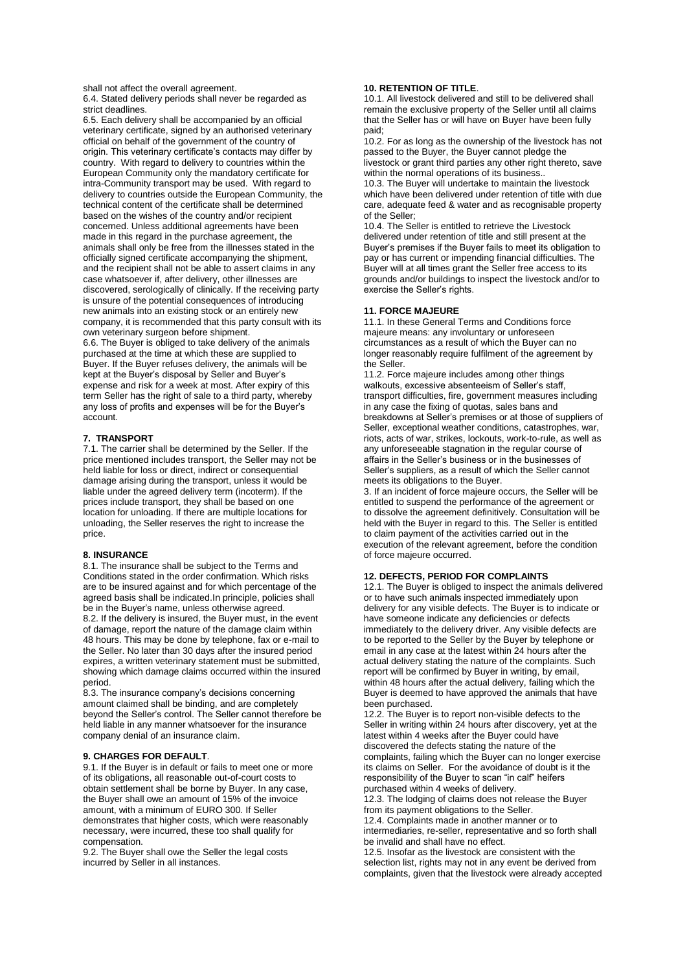shall not affect the overall agreement.

6.4. Stated delivery periods shall never be regarded as strict deadlines.

6.5. Each delivery shall be accompanied by an official veterinary certificate, signed by an authorised veterinary official on behalf of the government of the country of origin. This veterinary certificate's contacts may differ by country. With regard to delivery to countries within the European Community only the mandatory certificate for intra-Community transport may be used. With regard to delivery to countries outside the European Community, the technical content of the certificate shall be determined based on the wishes of the country and/or recipient concerned. Unless additional agreements have been made in this regard in the purchase agreement, the animals shall only be free from the illnesses stated in the officially signed certificate accompanying the shipment, and the recipient shall not be able to assert claims in any case whatsoever if, after delivery, other illnesses are discovered, serologically of clinically. If the receiving party is unsure of the potential consequences of introducing new animals into an existing stock or an entirely new company, it is recommended that this party consult with its own veterinary surgeon before shipment. 6.6. The Buyer is obliged to take delivery of the animals

purchased at the time at which these are supplied to Buyer. If the Buyer refuses delivery, the animals will be kept at the Buyer's disposal by Seller and Buyer's expense and risk for a week at most. After expiry of this term Seller has the right of sale to a third party, whereby any loss of profits and expenses will be for the Buyer's account.

## **7. TRANSPORT**

7.1. The carrier shall be determined by the Seller. If the price mentioned includes transport, the Seller may not be held liable for loss or direct, indirect or consequential damage arising during the transport, unless it would be liable under the agreed delivery term (incoterm). If the prices include transport, they shall be based on one location for unloading. If there are multiple locations for unloading, the Seller reserves the right to increase the price.

#### **8. INSURANCE**

8.1. The insurance shall be subject to the Terms and Conditions stated in the order confirmation. Which risks are to be insured against and for which percentage of the agreed basis shall be indicated.In principle, policies shall be in the Buyer's name, unless otherwise agreed. 8.2. If the delivery is insured, the Buyer must, in the event of damage, report the nature of the damage claim within 48 hours. This may be done by telephone, fax or e-mail to the Seller. No later than 30 days after the insured period expires, a written veterinary statement must be submitted, showing which damage claims occurred within the insured period.

8.3. The insurance company's decisions concerning amount claimed shall be binding, and are completely beyond the Seller's control. The Seller cannot therefore be held liable in any manner whatsoever for the insurance company denial of an insurance claim.

#### **9. CHARGES FOR DEFAULT**.

9.1. If the Buyer is in default or fails to meet one or more of its obligations, all reasonable out-of-court costs to obtain settlement shall be borne by Buyer. In any case, the Buyer shall owe an amount of 15% of the invoice amount, with a minimum of EURO 300. If Seller demonstrates that higher costs, which were reasonably necessary, were incurred, these too shall qualify for compensation.

9.2. The Buyer shall owe the Seller the legal costs incurred by Seller in all instances.

## **10. RETENTION OF TITLE**.

10.1. All livestock delivered and still to be delivered shall remain the exclusive property of the Seller until all claims that the Seller has or will have on Buyer have been fully paid;

10.2. For as long as the ownership of the livestock has not passed to the Buyer, the Buyer cannot pledge the livestock or grant third parties any other right thereto, save within the normal operations of its business..

10.3. The Buyer will undertake to maintain the livestock which have been delivered under retention of title with due care, adequate feed & water and as recognisable property of the Seller;

10.4. The Seller is entitled to retrieve the Livestock delivered under retention of title and still present at the Buyer's premises if the Buyer fails to meet its obligation to pay or has current or impending financial difficulties. The Buyer will at all times grant the Seller free access to its grounds and/or buildings to inspect the livestock and/or to exercise the Seller's rights.

#### **11. FORCE MAJEURE**

11.1. In these General Terms and Conditions force majeure means: any involuntary or unforeseen circumstances as a result of which the Buyer can no longer reasonably require fulfilment of the agreement by the Seller.

11.2. Force majeure includes among other things walkouts, excessive absenteeism of Seller's staff, transport difficulties, fire, government measures including in any case the fixing of quotas, sales bans and breakdowns at Seller's premises or at those of suppliers of Seller, exceptional weather conditions, catastrophes, war, riots, acts of war, strikes, lockouts, work-to-rule, as well as any unforeseeable stagnation in the regular course of affairs in the Seller's business or in the businesses of Seller's suppliers, as a result of which the Seller cannot meets its obligations to the Buyer.

3. If an incident of force majeure occurs, the Seller will be entitled to suspend the performance of the agreement or to dissolve the agreement definitively. Consultation will be held with the Buyer in regard to this. The Seller is entitled to claim payment of the activities carried out in the execution of the relevant agreement, before the condition of force majeure occurred.

#### **12. DEFECTS, PERIOD FOR COMPLAINTS**

12.1. The Buyer is obliged to inspect the animals delivered or to have such animals inspected immediately upon delivery for any visible defects. The Buyer is to indicate or have someone indicate any deficiencies or defects immediately to the delivery driver. Any visible defects are to be reported to the Seller by the Buyer by telephone or email in any case at the latest within 24 hours after the actual delivery stating the nature of the complaints. Such report will be confirmed by Buyer in writing, by email, within 48 hours after the actual delivery, failing which the Buyer is deemed to have approved the animals that have been purchased.

12.2. The Buyer is to report non-visible defects to the Seller in writing within 24 hours after discovery, yet at the latest within 4 weeks after the Buyer could have discovered the defects stating the nature of the complaints, failing which the Buyer can no longer exercise its claims on Seller. For the avoidance of doubt is it the responsibility of the Buyer to scan "in calf" heifers purchased within 4 weeks of delivery.

12.3. The lodging of claims does not release the Buyer from its payment obligations to the Seller.

12.4. Complaints made in another manner or to intermediaries, re-seller, representative and so forth shall be invalid and shall have no effect.

12.5. Insofar as the livestock are consistent with the selection list, rights may not in any event be derived from complaints, given that the livestock were already accepted